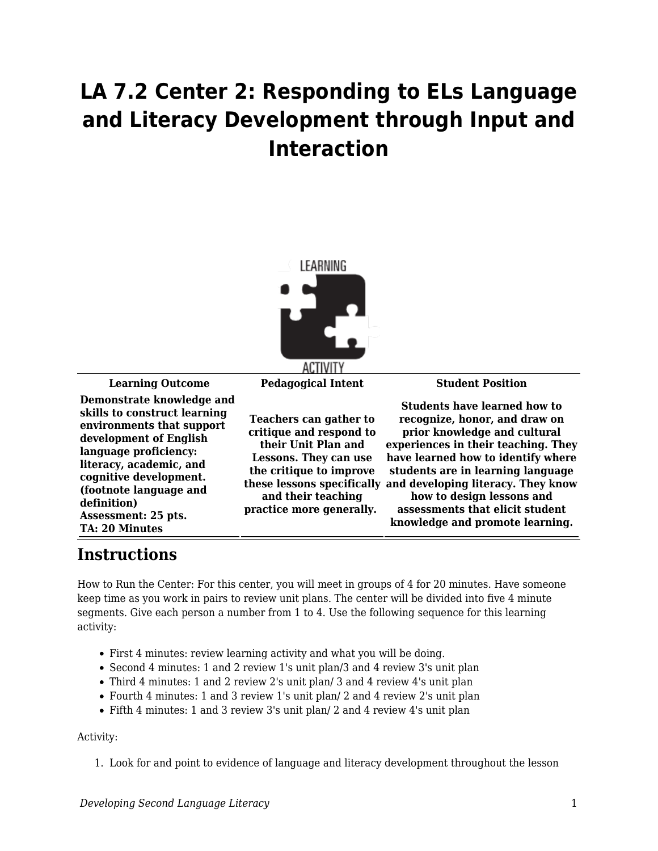## **LA 7.2 Center 2: Responding to ELs Language and Literacy Development through Input and Interaction**



**Learning Outcome Pedagogical Intent Student Position**

**Demonstrate knowledge and skills to construct learning environments that support development of English language proficiency: literacy, academic, and cognitive development. (footnote language and definition) Assessment: 25 pts. TA: 20 Minutes**

**Teachers can gather to critique and respond to their Unit Plan and Lessons. They can use the critique to improve and their teaching practice more generally.** 

**these lessons specifically and developing literacy. They know Students have learned how to recognize, honor, and draw on prior knowledge and cultural experiences in their teaching. They have learned how to identify where students are in learning language**

**how to design lessons and assessments that elicit student knowledge and promote learning.**

## **Instructions**

How to Run the Center: For this center, you will meet in groups of 4 for 20 minutes. Have someone keep time as you work in pairs to review unit plans. The center will be divided into five 4 minute segments. Give each person a number from 1 to 4. Use the following sequence for this learning activity:

- First 4 minutes: review learning activity and what you will be doing.
- Second 4 minutes: 1 and 2 review 1's unit plan/3 and 4 review 3's unit plan
- Third 4 minutes: 1 and 2 review 2's unit plan/ 3 and 4 review 4's unit plan
- Fourth 4 minutes: 1 and 3 review 1's unit plan/ 2 and 4 review 2's unit plan
- Fifth 4 minutes: 1 and 3 review 3's unit plan/ 2 and 4 review 4's unit plan

## Activity:

1. Look for and point to evidence of language and literacy development throughout the lesson